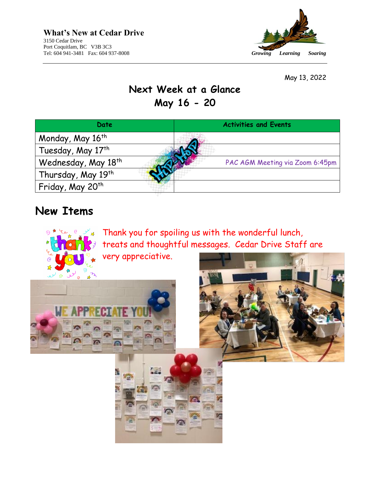

May 13, 2022

### **Next Week at a Glance May 16 - 20**

| Date                            | <b>Activities and Events</b>    |
|---------------------------------|---------------------------------|
| Monday, May 16th                |                                 |
| Tuesday, May 17th               |                                 |
| Wednesday, May 18 <sup>th</sup> | PAC AGM Meeting via Zoom 6:45pm |
| Thursday, May 19th              |                                 |
| ' Friday, May 20 <sup>th</sup>  |                                 |

 $\sqrt{2}$ 

Г.

G

### **New Items**

 $\odot$ ₩





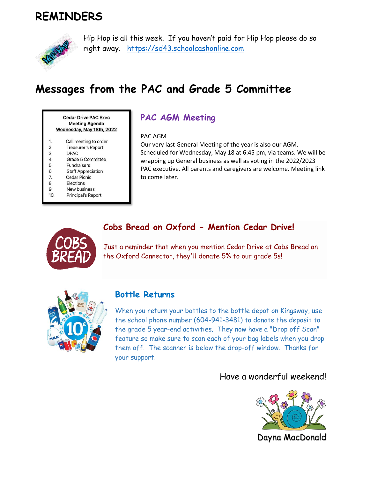## **REMINDERS**



Hip Hop is all this week. If you haven't paid for Hip Hop please do so right away. [https://sd43.schoolcashonline.com](https://sd43.schoolcashonline.com/)

# **Messages from the PAC and Grade 5 Committee**

**Cedar Drive PAC Exec Meeting Agenda** Wednesday, May 18th, 2022

- Call meeting to order 1.
- $2.$ **Treasurer's Report**
- 3. **DPAC**
- Grade 5 Committee 4.
- 5. **Fundraisers**
- 6. **Staff Appreciation**
- 7. Cedar Picnic
- 8. Elections
- New business 9
- 10. **Principal's Report**

### **PAC AGM Meeting**

#### PAC AGM

Our very last General Meeting of the year is also our AGM. Scheduled for Wednesday, May 18 at 6:45 pm, via teams. We will be wrapping up General business as well as voting in the 2022/2023 PAC executive. All parents and caregivers are welcome. Meeting link to come later.

#### **Cobs Bread on Oxford - Mention Cedar Drive!**



Just a reminder that when you mention Cedar Drive at Cobs Bread on the Oxford Connector, they'll donate 5% to our grade 5s!



#### **Bottle Returns**

When you return your bottles to the bottle depot on Kingsway, use the school phone number (604-941-3481) to donate the deposit to the grade 5 year-end activities. They now have a "Drop off Scan" feature so make sure to scan each of your bag labels when you drop them off. The scanner is below the drop-off window. Thanks for your support!

### Have a wonderful weekend!